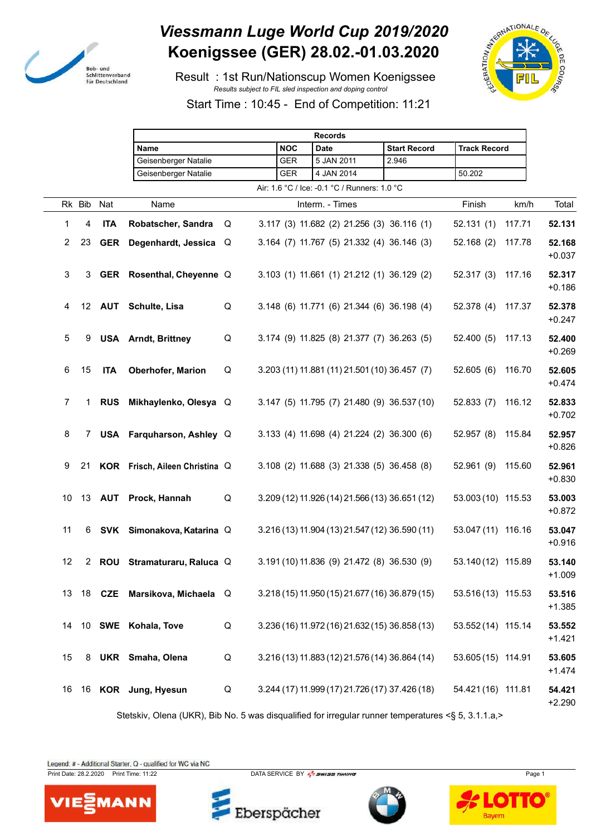

## *Viessmann Luge World Cup 2019/2020* **Koenigssee (GER) 28.02.-01.03.2020**

 Result : 1st Run/Nationscup Women Koenigssee *Results subject to FIL sled inspection and doping control*



Start Time : 10:45 - End of Competition: 11:21

|                |             |            |                                                                                                     |   |            | <b>Records</b>                                 |                     |                     |        |                    |
|----------------|-------------|------------|-----------------------------------------------------------------------------------------------------|---|------------|------------------------------------------------|---------------------|---------------------|--------|--------------------|
|                |             |            | Name                                                                                                |   | <b>NOC</b> | <b>Date</b>                                    | <b>Start Record</b> | <b>Track Record</b> |        |                    |
|                |             |            | Geisenberger Natalie                                                                                |   | <b>GER</b> | 5 JAN 2011                                     | 2.946               |                     |        |                    |
|                |             |            | Geisenberger Natalie                                                                                |   | GER        | 4 JAN 2014                                     |                     | 50.202              |        |                    |
|                |             |            |                                                                                                     |   |            | Air: 1.6 °C / Ice: -0.1 °C / Runners: 1.0 °C   |                     |                     |        |                    |
|                | Rk Bib      | Nat        | Name                                                                                                |   |            | Interm. - Times                                |                     | Finish              | km/h   | Total              |
| 1              | 4           | <b>ITA</b> | Robatscher, Sandra                                                                                  | Q |            | 3.117 (3) 11.682 (2) 21.256 (3) 36.116 (1)     |                     | 52.131(1)           | 117.71 | 52.131             |
| $\overline{2}$ | 23          |            | GER Degenhardt, Jessica Q                                                                           |   |            | 3.164 (7) 11.767 (5) 21.332 (4) 36.146 (3)     |                     | 52.168(2)           | 117.78 | 52.168<br>$+0.037$ |
| 3              | 3           |            | GER Rosenthal, Cheyenne Q                                                                           |   |            | 3.103 (1) 11.661 (1) 21.212 (1) 36.129 (2)     |                     | 52.317(3)           | 117.16 | 52.317<br>$+0.186$ |
| 4              |             |            | 12 AUT Schulte, Lisa                                                                                | Q |            | 3.148 (6) 11.771 (6) 21.344 (6) 36.198 (4)     |                     | 52.378(4)           | 117.37 | 52.378<br>$+0.247$ |
| 5              | 9           |            | <b>USA</b> Arndt, Brittney                                                                          | Q |            | 3.174 (9) 11.825 (8) 21.377 (7) 36.263 (5)     |                     | 52.400(5)           | 117.13 | 52.400<br>$+0.269$ |
| $\,6\,$        | 15          | <b>ITA</b> | Oberhofer, Marion                                                                                   | Q |            | 3.203 (11) 11.881 (11) 21.501 (10) 36.457 (7)  |                     | 52.605(6)           | 116.70 | 52.605<br>$+0.474$ |
| 7              | 1           | <b>RUS</b> | Mikhaylenko, Olesya Q                                                                               |   |            | 3.147 (5) 11.795 (7) 21.480 (9) 36.537 (10)    |                     | 52.833(7)           | 116.12 | 52.833<br>$+0.702$ |
| 8              | 7           |            | USA Farquharson, Ashley Q                                                                           |   |            | 3.133 (4) 11.698 (4) 21.224 (2) 36.300 (6)     |                     | 52.957 (8)          | 115.84 | 52.957<br>$+0.826$ |
| 9              | 21          |            | KOR Frisch, Aileen Christina Q                                                                      |   |            | 3.108 (2) 11.688 (3) 21.338 (5) 36.458 (8)     |                     | 52.961(9)           | 115.60 | 52.961<br>$+0.830$ |
| 10             | 13          |            | AUT Prock, Hannah                                                                                   | Q |            | 3.209 (12) 11.926 (14) 21.566 (13) 36.651 (12) |                     | 53.003 (10) 115.53  |        | 53.003<br>$+0.872$ |
| 11             | 6           |            | SVK Simonakova, Katarina Q                                                                          |   |            | 3.216 (13) 11.904 (13) 21.547 (12) 36.590 (11) |                     | 53.047 (11) 116.16  |        | 53.047<br>$+0.916$ |
| 12             | $2^{\circ}$ |            | ROU Stramaturaru, Raluca Q                                                                          |   |            | 3.191 (10) 11.836 (9) 21.472 (8) 36.530 (9)    |                     | 53.140 (12) 115.89  |        | 53.140<br>$+1.009$ |
| 13             |             |            | 18 CZE Marsikova, Michaela Q                                                                        |   |            | 3.218 (15) 11.950 (15) 21.677 (16) 36.879 (15) |                     | 53.516 (13) 115.53  |        | 53.516<br>$+1.385$ |
| 14             |             |            | 10 SWE Kohala, Tove                                                                                 | Q |            | 3.236 (16) 11.972 (16) 21.632 (15) 36.858 (13) |                     | 53.552 (14) 115.14  |        | 53.552<br>$+1.421$ |
| 15             | 8           |            | UKR Smaha, Olena                                                                                    | Q |            | 3.216 (13) 11.883 (12) 21.576 (14) 36.864 (14) |                     | 53.605 (15) 114.91  |        | 53.605<br>$+1.474$ |
| 16             |             |            | 16 KOR Jung, Hyesun                                                                                 | Q |            | 3.244 (17) 11.999 (17) 21.726 (17) 37.426 (18) |                     | 54.421 (16) 111.81  |        | 54.421<br>$+2.290$ |
|                |             |            | Stetskiv, Olena (UKR), Bib No. 5 was disqualified for irregular runner temperatures <§ 5, 3.1.1.a,> |   |            |                                                |                     |                     |        |                    |

Legend: # - Additional Starter, Q - qualified for WC via NC

Print Date: 28.2.2020 Print Time: 11:22 DATA SERVICE BY  $\frac{P}{2}$  SWISS TIMING



Eberspächer